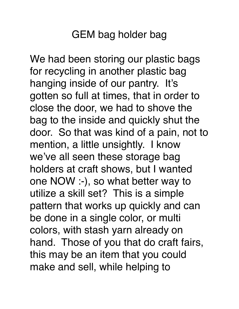We had been storing our plastic bags for recycling in another plastic bag hanging inside of our pantry. It's gotten so full at times, that in order to close the door, we had to shove the bag to the inside and quickly shut the door. So that was kind of a pain, not to mention, a little unsightly. I know we've all seen these storage bag holders at craft shows, but I wanted one NOW :-), so what better way to utilize a skill set? This is a simple pattern that works up quickly and can be done in a single color, or multi colors, with stash yarn already on hand. Those of you that do craft fairs, this may be an item that you could make and sell, while helping to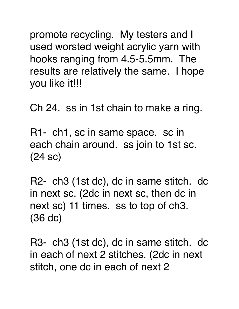promote recycling. My testers and I used worsted weight acrylic yarn with hooks ranging from 4.5-5.5mm. The results are relatively the same. I hope you like it!!!

Ch 24. ss in 1st chain to make a ring.

R1- ch1, sc in same space. sc in each chain around. ss join to 1st sc. (24 sc)

R2- ch3 (1st dc), dc in same stitch. dc in next sc. (2dc in next sc, then dc in next sc) 11 times. ss to top of ch3. (36 dc)

R3- ch3 (1st dc), dc in same stitch. dc in each of next 2 stitches. (2dc in next stitch, one dc in each of next 2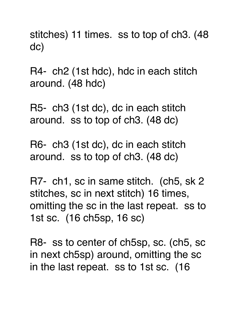stitches) 11 times. ss to top of ch3. (48 dc)

R4- ch2 (1st hdc), hdc in each stitch around. (48 hdc)

R5- ch3 (1st dc), dc in each stitch around. ss to top of ch3. (48 dc)

R6- ch3 (1st dc), dc in each stitch around. ss to top of ch3. (48 dc)

R7- ch1, sc in same stitch. (ch5, sk 2 stitches, sc in next stitch) 16 times, omitting the sc in the last repeat. ss to 1st sc. (16 ch5sp, 16 sc)

R8- ss to center of ch5sp, sc. (ch5, sc in next ch5sp) around, omitting the sc in the last repeat. ss to 1st sc. (16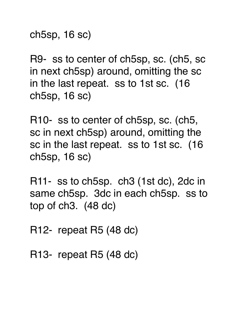ch5sp, 16 sc)

R9- ss to center of ch5sp, sc. (ch5, sc in next ch5sp) around, omitting the sc in the last repeat. ss to 1st sc. (16 ch5sp, 16 sc)

R10- ss to center of ch5sp, sc. (ch5, sc in next ch5sp) around, omitting the sc in the last repeat. ss to 1st sc. (16 ch5sp, 16 sc)

R11- ss to ch5sp. ch3 (1st dc), 2dc in same ch5sp. 3dc in each ch5sp. ss to top of ch3. (48 dc)

R12- repeat R5 (48 dc)

R13- repeat R5 (48 dc)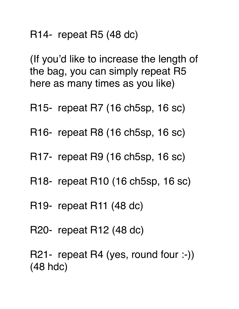R14- repeat R5 (48 dc)

(If you'd like to increase the length of the bag, you can simply repeat R5 here as many times as you like)

- R15- repeat R7 (16 ch5sp, 16 sc)
- R16- repeat R8 (16 ch5sp, 16 sc)
- R17- repeat R9 (16 ch5sp, 16 sc)
- R18- repeat R10 (16 ch5sp, 16 sc)
- R19- repeat R11 (48 dc)
- R20- repeat R12 (48 dc)

R21- repeat R4 (yes, round four :-)) (48 hdc)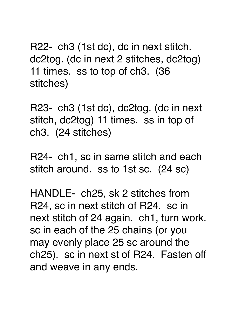R22- ch3 (1st dc), dc in next stitch. dc2tog. (dc in next 2 stitches, dc2tog) 11 times. ss to top of ch3. (36 stitches)

R23- ch3 (1st dc), dc2tog. (dc in next stitch, dc2tog) 11 times. ss in top of ch3. (24 stitches)

R24- ch1, sc in same stitch and each stitch around. ss to 1st sc. (24 sc)

HANDLE- ch25, sk 2 stitches from R24, sc in next stitch of R24. sc in next stitch of 24 again. ch1, turn work. sc in each of the 25 chains (or you may evenly place 25 sc around the ch25). sc in next st of R24. Fasten off and weave in any ends.